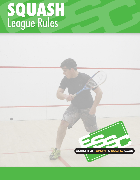# SQUASH<br>League Rules

G

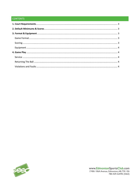# **CONTENTS**

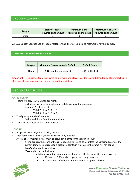# <span id="page-2-0"></span>1. COURT REQUIREMENTS

| League | <b>Total # of Players</b>    | Minimum # of F               | Maximum # of M/X            |
|--------|------------------------------|------------------------------|-----------------------------|
|        | <b>Required on the Court</b> | <b>Required on the Court</b> | <b>Allowed on the Court</b> |
| Dpen   |                              |                              |                             |

All ESSC Squash Leagues use an 'open' roster format. There are no co-ed restrictions for the leagues.

# <span id="page-2-1"></span>2. DEFAULT MINIMUMS & SCORES

| League | <b>Minimum Players to Avoid Default</b> | <b>Default Score</b> |
|--------|-----------------------------------------|----------------------|
| Open   | 2 (No gender restrictions)              | $0-11; 0-11; 0-11$   |

**Important –** In Squash, a team is allowed to play with one player in order to avoid defaulting all four matches. In this case, the team would only default two of the matches.

# 3. FORMAT & EQUIPMENT

### <span id="page-2-2"></span>GAME FORMAT

- Teams will play four matches per night:
	- o Each player will play two individual matches against the opposition
		- $\circ$  Example: A + B vs. C + D
			- Match 1: A vs. C, B vs. D
			- Match 2: A vs. D, B vs. C
- Total playing time is 60 minutes
	- o Each match has a 30-minute time limit
- Matches are a best-of-five games format

### <span id="page-2-3"></span>SCORING

- All games use a rally-point scoring system
- Each game is to 11 points (do not have to win by 2 points)
- A total of 5 combined points must be played in a game for the result to count
	- $\circ$  If time expires, the score of the current game will stand as-is, unless the combined score of the current game has not reached a total of 5 points, in which case the game will not count
	- o *Regular Season:* ties are allowed
	- o *Playoffs:* ties are not allowed
		- If both teams won the same number of matches, the following tie-breakers occur:
			- *1st Tiebreaker*: Differential of games won vs. games lost
			- *2nd Tiebreaker*: Differential of points scored vs. points allowed

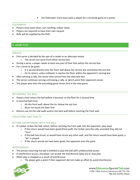*3rd Tiebreaker*: Each team picks a player for a tie-break game to 5 points

## <span id="page-3-0"></span>EQUIPMENT

- Players must wear clean, non-marking, indoor shoes
- Players are required to have their own racquet
- Balls will be supplied by the ESSC

# <span id="page-3-1"></span>4. GAME PLAY

### SERVICE

- First-serve is decided by the spin of a racket or an alternate means
	- o The server can serve from either service box
- During a serve, a player needs at least one part of their foot within the service box
- For a serve to be good:
	- $\circ$  It is served directly onto the front wall above the service line and below the out-line
	- $\circ$  On its return, unless volleyed, it reaches the floor within the opponent's serving box
- After winning a rally, the server then serves from the alternate box
- The server continues serving until losing a rally, at which point their opponent serves
- The player who wins the preceding game serves first in the next game

### <span id="page-3-2"></span>RETURNING THE BALL

- Players must return the ball before it bounces on the floor for a second time
- A returned ball must:
	- o Hit the front wall, above the tin, below the out-line
		- o Must not touch the floor first
- Returns can hit the side walls and/or the back wall before reaching the front wall

# <span id="page-3-3"></span>VIOLATIONS AND FAULTS

### HITTING AN OPPONENT WITH THE BALL

- If a player strikes the ball, which, before reaching the front wall, hits the opponent, play stops
	- $\circ$  If the return would have been good (front wall), the striker wins the rally, provided they did not "turn"
	- $\circ$  If the ball had struck, or would have struck any other wall, and the return would have been good, a "let" is played
	- o If the return would not have been good, the opponent wins the point

### INTERFERENCE

- The person returning the ball is entitled to play the ball with unobstructed access
- If interference occurs, the player can accept the interference (play on) or stop play
- When play is stopped as a result of interference:
	- $\circ$  The player gets a point if their opponent did not make an effort to avoid interference